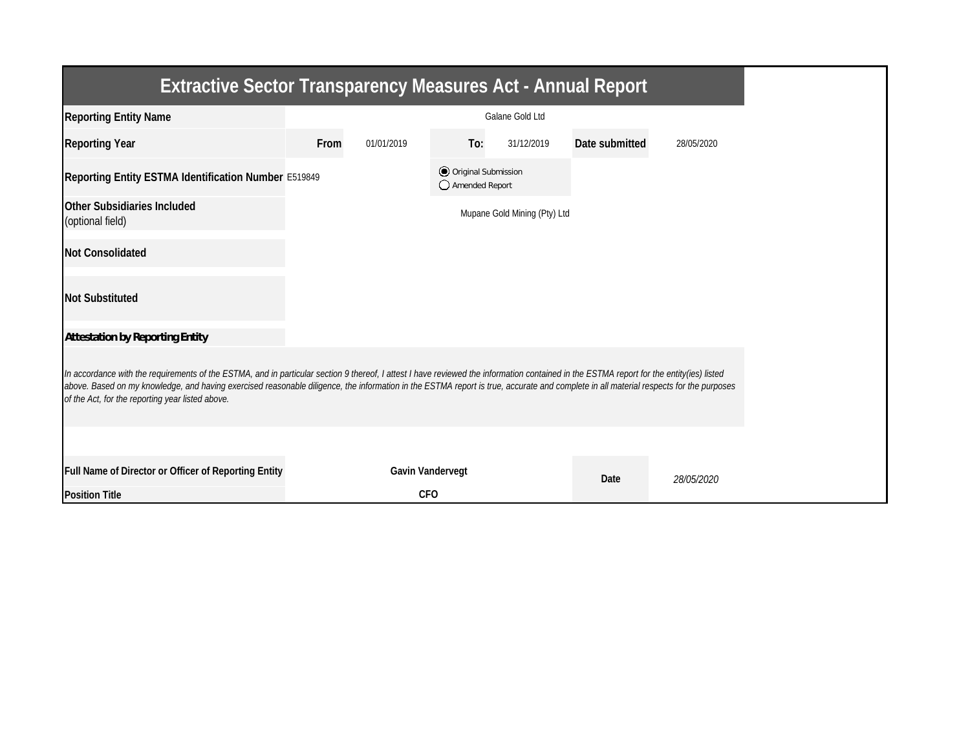| <b>Extractive Sector Transparency Measures Act - Annual Report</b>                                                                                                                                                                                                                                                                                                                                                                    |                        |                         |                                         |                              |                       |            |  |  |  |
|---------------------------------------------------------------------------------------------------------------------------------------------------------------------------------------------------------------------------------------------------------------------------------------------------------------------------------------------------------------------------------------------------------------------------------------|------------------------|-------------------------|-----------------------------------------|------------------------------|-----------------------|------------|--|--|--|
| <b>Reporting Entity Name</b>                                                                                                                                                                                                                                                                                                                                                                                                          | <b>Galane Gold Ltd</b> |                         |                                         |                              |                       |            |  |  |  |
| <b>Reporting Year</b>                                                                                                                                                                                                                                                                                                                                                                                                                 | <b>From</b>            | 01/01/2019              | To:                                     | 31/12/2019                   | <b>Date submitted</b> | 28/05/2020 |  |  |  |
| Reporting Entity ESTMA Identification Number E519849                                                                                                                                                                                                                                                                                                                                                                                  |                        |                         | O Original Submission<br>Amended Report |                              |                       |            |  |  |  |
| <b>Other Subsidiaries Included</b><br>(optional field)                                                                                                                                                                                                                                                                                                                                                                                |                        |                         |                                         | Mupane Gold Mining (Pty) Ltd |                       |            |  |  |  |
| <b>Not Consolidated</b>                                                                                                                                                                                                                                                                                                                                                                                                               |                        |                         |                                         |                              |                       |            |  |  |  |
| <b>Not Substituted</b>                                                                                                                                                                                                                                                                                                                                                                                                                |                        |                         |                                         |                              |                       |            |  |  |  |
| <b>Attestation by Reporting Entity</b>                                                                                                                                                                                                                                                                                                                                                                                                |                        |                         |                                         |                              |                       |            |  |  |  |
| In accordance with the requirements of the ESTMA, and in particular section 9 thereof, I attest I have reviewed the information contained in the ESTMA report for the entity(ies) listed<br>above. Based on my knowledge, and having exercised reasonable diligence, the information in the ESTMA report is true, accurate and complete in all material respects for the purposes<br>of the Act, for the reporting year listed above. |                        |                         |                                         |                              |                       |            |  |  |  |
|                                                                                                                                                                                                                                                                                                                                                                                                                                       |                        |                         |                                         |                              |                       |            |  |  |  |
| <b>Full Name of Director or Officer of Reporting Entity</b>                                                                                                                                                                                                                                                                                                                                                                           |                        | <b>Gavin Vandervegt</b> |                                         |                              | <b>Date</b>           | 28/05/2020 |  |  |  |
| <b>Position Title</b>                                                                                                                                                                                                                                                                                                                                                                                                                 |                        | <b>CFO</b>              |                                         |                              |                       |            |  |  |  |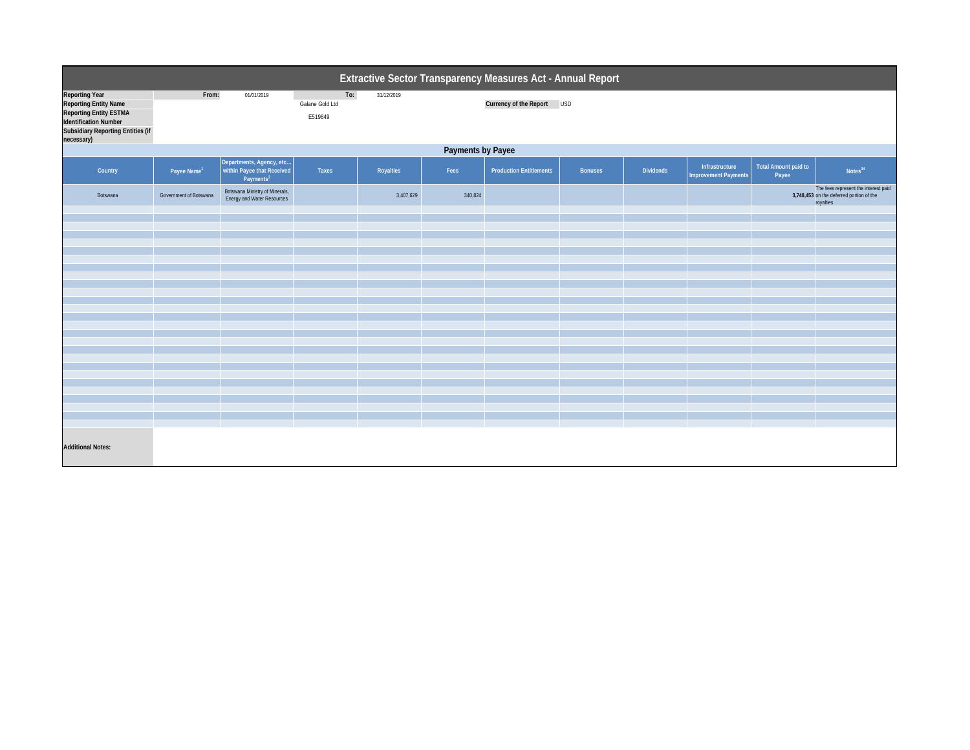| Extractive Sector Transparency Measures Act - Annual Report                                                                                                               |                          |                                                                                 |                                   |                  |         |                                |                |                  |                                               |                                      |                                                                                               |  |
|---------------------------------------------------------------------------------------------------------------------------------------------------------------------------|--------------------------|---------------------------------------------------------------------------------|-----------------------------------|------------------|---------|--------------------------------|----------------|------------------|-----------------------------------------------|--------------------------------------|-----------------------------------------------------------------------------------------------|--|
| <b>Reporting Year</b><br><b>Reporting Entity Name</b><br><b>Reporting Entity ESTMA</b><br>Identification Number<br><b>Subsidiary Reporting Entities (if</b><br>necessary) | From:                    | 01/01/2019                                                                      | To:<br>Galane Gold Ltd<br>E519849 | 31/12/2019       |         | <b>Currency of the Report</b>  | <b>USD</b>     |                  |                                               |                                      |                                                                                               |  |
|                                                                                                                                                                           | <b>Payments by Payee</b> |                                                                                 |                                   |                  |         |                                |                |                  |                                               |                                      |                                                                                               |  |
| <b>Country</b>                                                                                                                                                            | Payee Name <sup>1</sup>  | Departments, Agency, etc<br>within Payee that Received<br>Payments <sup>2</sup> | <b>Taxes</b>                      | <b>Royalties</b> | Fees    | <b>Production Entitlements</b> | <b>Bonuses</b> | <b>Dividends</b> | Infrastructure<br><b>Improvement Payments</b> | <b>Total Amount paid to</b><br>Payee | Notes <sup>34</sup>                                                                           |  |
| Botswana                                                                                                                                                                  | Government of Botswana   | Botswana Ministry of Minerals,<br>Energy and Water Resources                    |                                   | 3,407,629        | 340,824 |                                |                |                  |                                               |                                      | The fees represent the interest paid<br>3,748,453 on the deferred portion of the<br>royalties |  |
|                                                                                                                                                                           |                          |                                                                                 |                                   |                  |         |                                |                |                  |                                               |                                      |                                                                                               |  |
|                                                                                                                                                                           |                          |                                                                                 |                                   |                  |         |                                |                |                  |                                               |                                      |                                                                                               |  |
|                                                                                                                                                                           |                          |                                                                                 |                                   |                  |         |                                |                |                  |                                               |                                      |                                                                                               |  |
|                                                                                                                                                                           |                          |                                                                                 |                                   |                  |         |                                |                |                  |                                               |                                      |                                                                                               |  |
|                                                                                                                                                                           |                          |                                                                                 |                                   |                  |         |                                |                |                  |                                               |                                      |                                                                                               |  |
|                                                                                                                                                                           |                          |                                                                                 |                                   |                  |         |                                |                |                  |                                               |                                      |                                                                                               |  |
|                                                                                                                                                                           |                          |                                                                                 |                                   |                  |         |                                |                |                  |                                               |                                      |                                                                                               |  |
|                                                                                                                                                                           |                          |                                                                                 |                                   |                  |         |                                |                |                  |                                               |                                      |                                                                                               |  |
|                                                                                                                                                                           |                          |                                                                                 |                                   |                  |         |                                |                |                  |                                               |                                      |                                                                                               |  |
|                                                                                                                                                                           |                          |                                                                                 |                                   |                  |         |                                |                |                  |                                               |                                      |                                                                                               |  |
|                                                                                                                                                                           |                          |                                                                                 |                                   |                  |         |                                |                |                  |                                               |                                      |                                                                                               |  |
|                                                                                                                                                                           |                          |                                                                                 |                                   |                  |         |                                |                |                  |                                               |                                      |                                                                                               |  |
|                                                                                                                                                                           |                          |                                                                                 |                                   |                  |         |                                |                |                  |                                               |                                      |                                                                                               |  |
|                                                                                                                                                                           |                          |                                                                                 |                                   |                  |         |                                |                |                  |                                               |                                      |                                                                                               |  |
|                                                                                                                                                                           |                          |                                                                                 |                                   |                  |         |                                |                |                  |                                               |                                      |                                                                                               |  |
|                                                                                                                                                                           |                          |                                                                                 |                                   |                  |         |                                |                |                  |                                               |                                      |                                                                                               |  |
|                                                                                                                                                                           |                          |                                                                                 |                                   |                  |         |                                |                |                  |                                               |                                      |                                                                                               |  |
|                                                                                                                                                                           |                          |                                                                                 |                                   |                  |         |                                |                |                  |                                               |                                      |                                                                                               |  |
|                                                                                                                                                                           |                          |                                                                                 |                                   |                  |         |                                |                |                  |                                               |                                      |                                                                                               |  |
|                                                                                                                                                                           |                          |                                                                                 |                                   |                  |         |                                |                |                  |                                               |                                      |                                                                                               |  |
|                                                                                                                                                                           |                          |                                                                                 |                                   |                  |         |                                |                |                  |                                               |                                      |                                                                                               |  |
| <b>Additional Notes:</b>                                                                                                                                                  |                          |                                                                                 |                                   |                  |         |                                |                |                  |                                               |                                      |                                                                                               |  |